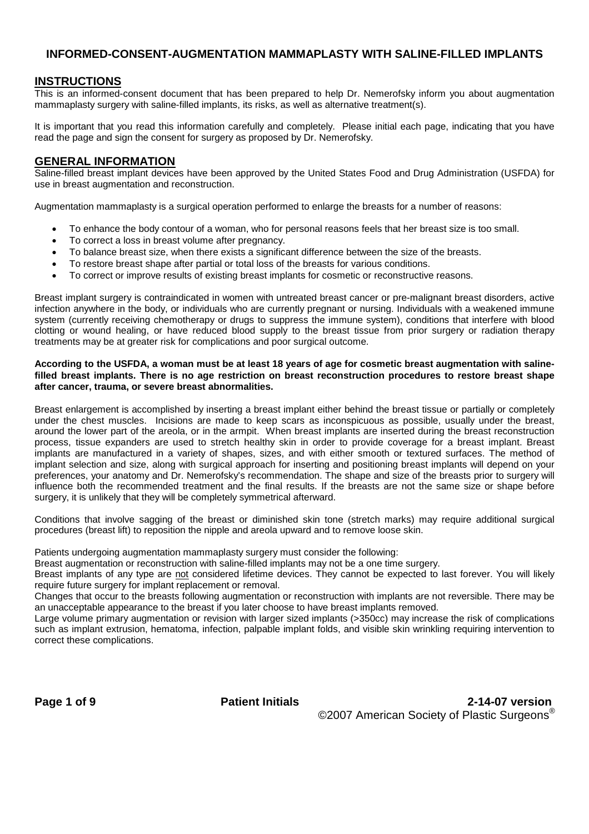## **INFORMED-CONSENT-AUGMENTATION MAMMAPLASTY WITH SALINE-FILLED IMPLANTS**

#### **INSTRUCTIONS**

This is an informed-consent document that has been prepared to help Dr. Nemerofsky inform you about augmentation mammaplasty surgery with saline-filled implants, its risks, as well as alternative treatment(s).

It is important that you read this information carefully and completely. Please initial each page, indicating that you have read the page and sign the consent for surgery as proposed by Dr. Nemerofsky.

#### **GENERAL INFORMATION**

Saline-filled breast implant devices have been approved by the United States Food and Drug Administration (USFDA) for use in breast augmentation and reconstruction.

Augmentation mammaplasty is a surgical operation performed to enlarge the breasts for a number of reasons:

- To enhance the body contour of a woman, who for personal reasons feels that her breast size is too small.
- To correct a loss in breast volume after pregnancy.
- To balance breast size, when there exists a significant difference between the size of the breasts.
- To restore breast shape after partial or total loss of the breasts for various conditions.
- To correct or improve results of existing breast implants for cosmetic or reconstructive reasons.

Breast implant surgery is contraindicated in women with untreated breast cancer or pre-malignant breast disorders, active infection anywhere in the body, or individuals who are currently pregnant or nursing. Individuals with a weakened immune system (currently receiving chemotherapy or drugs to suppress the immune system), conditions that interfere with blood clotting or wound healing, or have reduced blood supply to the breast tissue from prior surgery or radiation therapy treatments may be at greater risk for complications and poor surgical outcome.

#### **According to the USFDA, a woman must be at least 18 years of age for cosmetic breast augmentation with salinefilled breast implants. There is no age restriction on breast reconstruction procedures to restore breast shape after cancer, trauma, or severe breast abnormalities.**

Breast enlargement is accomplished by inserting a breast implant either behind the breast tissue or partially or completely under the chest muscles. Incisions are made to keep scars as inconspicuous as possible, usually under the breast, around the lower part of the areola, or in the armpit. When breast implants are inserted during the breast reconstruction process, tissue expanders are used to stretch healthy skin in order to provide coverage for a breast implant. Breast implants are manufactured in a variety of shapes, sizes, and with either smooth or textured surfaces. The method of implant selection and size, along with surgical approach for inserting and positioning breast implants will depend on your preferences, your anatomy and Dr. Nemerofsky's recommendation. The shape and size of the breasts prior to surgery will influence both the recommended treatment and the final results. If the breasts are not the same size or shape before surgery, it is unlikely that they will be completely symmetrical afterward.

Conditions that involve sagging of the breast or diminished skin tone (stretch marks) may require additional surgical procedures (breast lift) to reposition the nipple and areola upward and to remove loose skin.

Patients undergoing augmentation mammaplasty surgery must consider the following:

Breast augmentation or reconstruction with saline-filled implants may not be a one time surgery.

Breast implants of any type are not considered lifetime devices. They cannot be expected to last forever. You will likely require future surgery for implant replacement or removal.

Changes that occur to the breasts following augmentation or reconstruction with implants are not reversible. There may be an unacceptable appearance to the breast if you later choose to have breast implants removed.

Large volume primary augmentation or revision with larger sized implants (>350cc) may increase the risk of complications such as implant extrusion, hematoma, infection, palpable implant folds, and visible skin wrinkling requiring intervention to correct these complications.

**Page 1 of 9 Patient Initials 2-14-07 version** ©2007 American Society of Plastic Surgeons®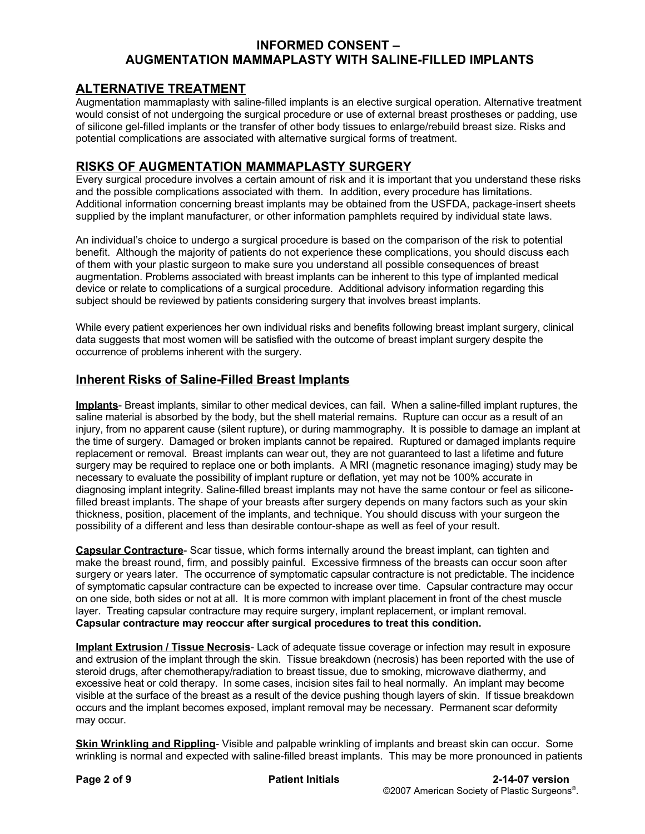## **INFORMED CONSENT – AUGMENTATION MAMMAPLASTY WITH SALINE-FILLED IMPLANTS**

# **ALTERNATIVE TREATMENT**

Augmentation mammaplasty with saline-filled implants is an elective surgical operation. Alternative treatment would consist of not undergoing the surgical procedure or use of external breast prostheses or padding, use of silicone gel-filled implants or the transfer of other body tissues to enlarge/rebuild breast size. Risks and potential complications are associated with alternative surgical forms of treatment.

## **RISKS OF AUGMENTATION MAMMAPLASTY SURGERY**

Every surgical procedure involves a certain amount of risk and it is important that you understand these risks and the possible complications associated with them. In addition, every procedure has limitations. Additional information concerning breast implants may be obtained from the USFDA, package-insert sheets supplied by the implant manufacturer, or other information pamphlets required by individual state laws.

An individual's choice to undergo a surgical procedure is based on the comparison of the risk to potential benefit. Although the majority of patients do not experience these complications, you should discuss each of them with your plastic surgeon to make sure you understand all possible consequences of breast augmentation. Problems associated with breast implants can be inherent to this type of implanted medical device or relate to complications of a surgical procedure. Additional advisory information regarding this subject should be reviewed by patients considering surgery that involves breast implants.

While every patient experiences her own individual risks and benefits following breast implant surgery, clinical data suggests that most women will be satisfied with the outcome of breast implant surgery despite the occurrence of problems inherent with the surgery.

## **Inherent Risks of Saline-Filled Breast Implants**

**Implants**- Breast implants, similar to other medical devices, can fail. When a saline-filled implant ruptures, the saline material is absorbed by the body, but the shell material remains. Rupture can occur as a result of an injury, from no apparent cause (silent rupture), or during mammography. It is possible to damage an implant at the time of surgery. Damaged or broken implants cannot be repaired. Ruptured or damaged implants require replacement or removal. Breast implants can wear out, they are not guaranteed to last a lifetime and future surgery may be required to replace one or both implants. A MRI (magnetic resonance imaging) study may be necessary to evaluate the possibility of implant rupture or deflation, yet may not be 100% accurate in diagnosing implant integrity. Saline-filled breast implants may not have the same contour or feel as siliconefilled breast implants. The shape of your breasts after surgery depends on many factors such as your skin thickness, position, placement of the implants, and technique. You should discuss with your surgeon the possibility of a different and less than desirable contour-shape as well as feel of your result.

**Capsular Contracture**- Scar tissue, which forms internally around the breast implant, can tighten and make the breast round, firm, and possibly painful. Excessive firmness of the breasts can occur soon after surgery or years later. The occurrence of symptomatic capsular contracture is not predictable. The incidence of symptomatic capsular contracture can be expected to increase over time. Capsular contracture may occur on one side, both sides or not at all. It is more common with implant placement in front of the chest muscle layer. Treating capsular contracture may require surgery, implant replacement, or implant removal. **Capsular contracture may reoccur after surgical procedures to treat this condition.**

**Implant Extrusion / Tissue Necrosis**- Lack of adequate tissue coverage or infection may result in exposure and extrusion of the implant through the skin. Tissue breakdown (necrosis) has been reported with the use of steroid drugs, after chemotherapy/radiation to breast tissue, due to smoking, microwave diathermy, and excessive heat or cold therapy. In some cases, incision sites fail to heal normally. An implant may become visible at the surface of the breast as a result of the device pushing though layers of skin. If tissue breakdown occurs and the implant becomes exposed, implant removal may be necessary. Permanent scar deformity may occur.

**Skin Wrinkling and Rippling**- Visible and palpable wrinkling of implants and breast skin can occur. Some wrinkling is normal and expected with saline-filled breast implants. This may be more pronounced in patients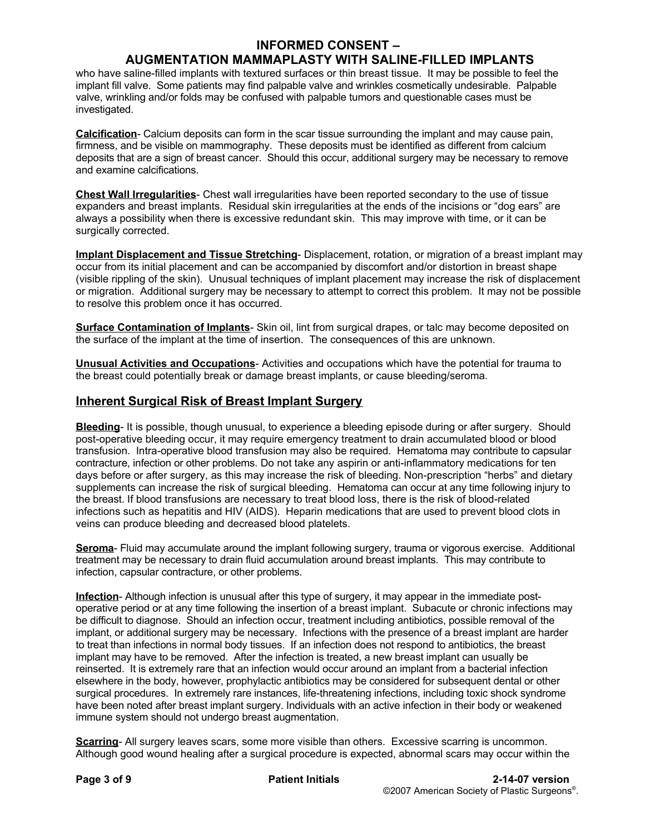## **AUGMENTATION MAMMAPLASTY WITH SALINE-FILLED IMPLANTS**

who have saline-filled implants with textured surfaces or thin breast tissue. It may be possible to feel the implant fill valve. Some patients may find palpable valve and wrinkles cosmetically undesirable. Palpable valve, wrinkling and/or folds may be confused with palpable tumors and questionable cases must be investigated.

**Calcification**- Calcium deposits can form in the scar tissue surrounding the implant and may cause pain, firmness, and be visible on mammography. These deposits must be identified as different from calcium deposits that are a sign of breast cancer. Should this occur, additional surgery may be necessary to remove and examine calcifications.

**Chest Wall Irregularities**- Chest wall irregularities have been reported secondary to the use of tissue expanders and breast implants. Residual skin irregularities at the ends of the incisions or "dog ears" are always a possibility when there is excessive redundant skin. This may improve with time, or it can be surgically corrected.

**Implant Displacement and Tissue Stretching**- Displacement, rotation, or migration of a breast implant may occur from its initial placement and can be accompanied by discomfort and/or distortion in breast shape (visible rippling of the skin). Unusual techniques of implant placement may increase the risk of displacement or migration. Additional surgery may be necessary to attempt to correct this problem. It may not be possible to resolve this problem once it has occurred.

**Surface Contamination of Implants**- Skin oil, lint from surgical drapes, or talc may become deposited on the surface of the implant at the time of insertion. The consequences of this are unknown.

**Unusual Activities and Occupations**- Activities and occupations which have the potential for trauma to the breast could potentially break or damage breast implants, or cause bleeding/seroma.

## **Inherent Surgical Risk of Breast Implant Surgery**

**Bleeding**- It is possible, though unusual, to experience a bleeding episode during or after surgery. Should post-operative bleeding occur, it may require emergency treatment to drain accumulated blood or blood transfusion. Intra-operative blood transfusion may also be required. Hematoma may contribute to capsular contracture, infection or other problems. Do not take any aspirin or anti-inflammatory medications for ten days before or after surgery, as this may increase the risk of bleeding. Non-prescription "herbs" and dietary supplements can increase the risk of surgical bleeding. Hematoma can occur at any time following injury to the breast. If blood transfusions are necessary to treat blood loss, there is the risk of blood-related infections such as hepatitis and HIV (AIDS). Heparin medications that are used to prevent blood clots in veins can produce bleeding and decreased blood platelets.

**Seroma**- Fluid may accumulate around the implant following surgery, trauma or vigorous exercise. Additional treatment may be necessary to drain fluid accumulation around breast implants. This may contribute to infection, capsular contracture, or other problems.

**Infection**- Although infection is unusual after this type of surgery, it may appear in the immediate postoperative period or at any time following the insertion of a breast implant. Subacute or chronic infections may be difficult to diagnose. Should an infection occur, treatment including antibiotics, possible removal of the implant, or additional surgery may be necessary. Infections with the presence of a breast implant are harder to treat than infections in normal body tissues. If an infection does not respond to antibiotics, the breast implant may have to be removed. After the infection is treated, a new breast implant can usually be reinserted. It is extremely rare that an infection would occur around an implant from a bacterial infection elsewhere in the body, however, prophylactic antibiotics may be considered for subsequent dental or other surgical procedures. In extremely rare instances, life-threatening infections, including toxic shock syndrome have been noted after breast implant surgery. Individuals with an active infection in their body or weakened immune system should not undergo breast augmentation.

**Scarring**- All surgery leaves scars, some more visible than others. Excessive scarring is uncommon. Although good wound healing after a surgical procedure is expected, abnormal scars may occur within the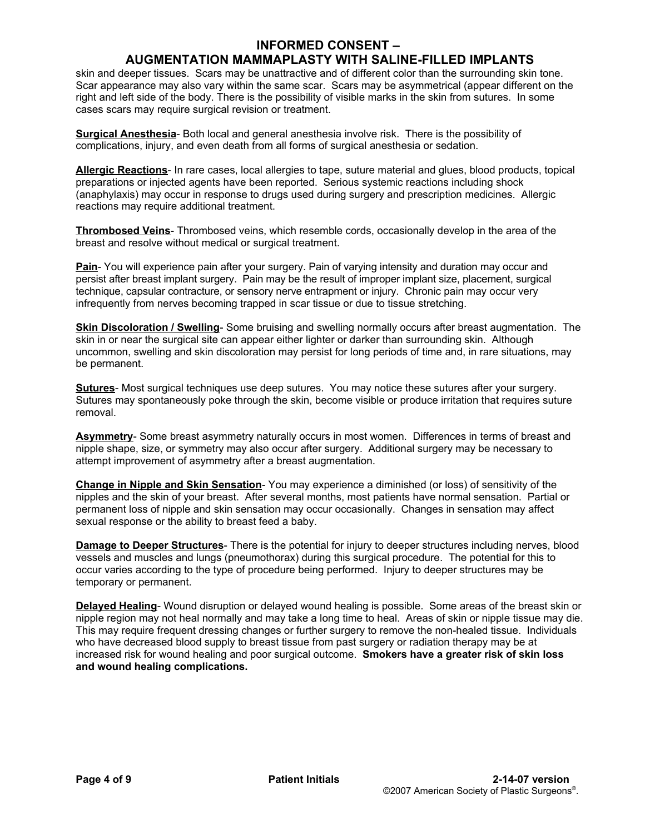## **AUGMENTATION MAMMAPLASTY WITH SALINE-FILLED IMPLANTS**

skin and deeper tissues. Scars may be unattractive and of different color than the surrounding skin tone. Scar appearance may also vary within the same scar. Scars may be asymmetrical (appear different on the right and left side of the body. There is the possibility of visible marks in the skin from sutures. In some cases scars may require surgical revision or treatment.

**Surgical Anesthesia**- Both local and general anesthesia involve risk. There is the possibility of complications, injury, and even death from all forms of surgical anesthesia or sedation.

**Allergic Reactions**- In rare cases, local allergies to tape, suture material and glues, blood products, topical preparations or injected agents have been reported. Serious systemic reactions including shock (anaphylaxis) may occur in response to drugs used during surgery and prescription medicines. Allergic reactions may require additional treatment.

**Thrombosed Veins**- Thrombosed veins, which resemble cords, occasionally develop in the area of the breast and resolve without medical or surgical treatment.

**Pain**- You will experience pain after your surgery. Pain of varying intensity and duration may occur and persist after breast implant surgery. Pain may be the result of improper implant size, placement, surgical technique, capsular contracture, or sensory nerve entrapment or injury. Chronic pain may occur very infrequently from nerves becoming trapped in scar tissue or due to tissue stretching.

**Skin Discoloration / Swelling**- Some bruising and swelling normally occurs after breast augmentation. The skin in or near the surgical site can appear either lighter or darker than surrounding skin. Although uncommon, swelling and skin discoloration may persist for long periods of time and, in rare situations, may be permanent.

**Sutures**- Most surgical techniques use deep sutures. You may notice these sutures after your surgery. Sutures may spontaneously poke through the skin, become visible or produce irritation that requires suture removal.

**Asymmetry**- Some breast asymmetry naturally occurs in most women. Differences in terms of breast and nipple shape, size, or symmetry may also occur after surgery. Additional surgery may be necessary to attempt improvement of asymmetry after a breast augmentation.

**Change in Nipple and Skin Sensation**- You may experience a diminished (or loss) of sensitivity of the nipples and the skin of your breast. After several months, most patients have normal sensation. Partial or permanent loss of nipple and skin sensation may occur occasionally. Changes in sensation may affect sexual response or the ability to breast feed a baby.

**Damage to Deeper Structures**- There is the potential for injury to deeper structures including nerves, blood vessels and muscles and lungs (pneumothorax) during this surgical procedure. The potential for this to occur varies according to the type of procedure being performed. Injury to deeper structures may be temporary or permanent.

**Delayed Healing**- Wound disruption or delayed wound healing is possible. Some areas of the breast skin or nipple region may not heal normally and may take a long time to heal. Areas of skin or nipple tissue may die. This may require frequent dressing changes or further surgery to remove the non-healed tissue. Individuals who have decreased blood supply to breast tissue from past surgery or radiation therapy may be at increased risk for wound healing and poor surgical outcome. **Smokers have a greater risk of skin loss and wound healing complications.**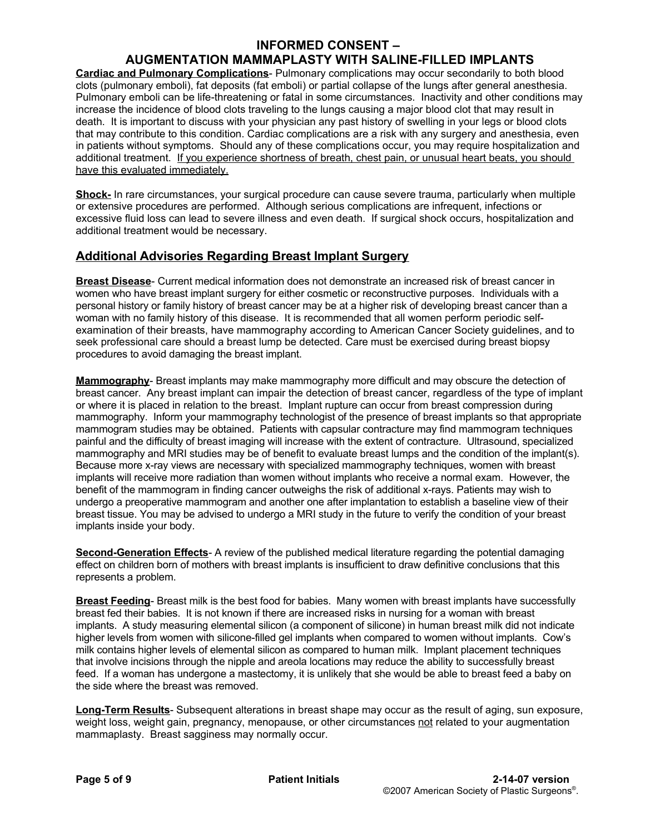## **AUGMENTATION MAMMAPLASTY WITH SALINE-FILLED IMPLANTS**

**Cardiac and Pulmonary Complications**- Pulmonary complications may occur secondarily to both blood clots (pulmonary emboli), fat deposits (fat emboli) or partial collapse of the lungs after general anesthesia. Pulmonary emboli can be life-threatening or fatal in some circumstances. Inactivity and other conditions may increase the incidence of blood clots traveling to the lungs causing a major blood clot that may result in death. It is important to discuss with your physician any past history of swelling in your legs or blood clots that may contribute to this condition. Cardiac complications are a risk with any surgery and anesthesia, even in patients without symptoms. Should any of these complications occur, you may require hospitalization and additional treatment. If you experience shortness of breath, chest pain, or unusual heart beats, you should have this evaluated immediately.

**Shock-** In rare circumstances, your surgical procedure can cause severe trauma, particularly when multiple or extensive procedures are performed. Although serious complications are infrequent, infections or excessive fluid loss can lead to severe illness and even death. If surgical shock occurs, hospitalization and additional treatment would be necessary.

## **Additional Advisories Regarding Breast Implant Surgery**

**Breast Disease**- Current medical information does not demonstrate an increased risk of breast cancer in women who have breast implant surgery for either cosmetic or reconstructive purposes. Individuals with a personal history or family history of breast cancer may be at a higher risk of developing breast cancer than a woman with no family history of this disease. It is recommended that all women perform periodic selfexamination of their breasts, have mammography according to American Cancer Society guidelines, and to seek professional care should a breast lump be detected. Care must be exercised during breast biopsy procedures to avoid damaging the breast implant.

**Mammography**- Breast implants may make mammography more difficult and may obscure the detection of breast cancer. Any breast implant can impair the detection of breast cancer, regardless of the type of implant or where it is placed in relation to the breast. Implant rupture can occur from breast compression during mammography. Inform your mammography technologist of the presence of breast implants so that appropriate mammogram studies may be obtained. Patients with capsular contracture may find mammogram techniques painful and the difficulty of breast imaging will increase with the extent of contracture. Ultrasound, specialized mammography and MRI studies may be of benefit to evaluate breast lumps and the condition of the implant(s). Because more x-ray views are necessary with specialized mammography techniques, women with breast implants will receive more radiation than women without implants who receive a normal exam. However, the benefit of the mammogram in finding cancer outweighs the risk of additional x-rays. Patients may wish to undergo a preoperative mammogram and another one after implantation to establish a baseline view of their breast tissue. You may be advised to undergo a MRI study in the future to verify the condition of your breast implants inside your body.

**Second-Generation Effects**- A review of the published medical literature regarding the potential damaging effect on children born of mothers with breast implants is insufficient to draw definitive conclusions that this represents a problem.

**Breast Feeding**- Breast milk is the best food for babies. Many women with breast implants have successfully breast fed their babies. It is not known if there are increased risks in nursing for a woman with breast implants. A study measuring elemental silicon (a component of silicone) in human breast milk did not indicate higher levels from women with silicone-filled gel implants when compared to women without implants. Cow's milk contains higher levels of elemental silicon as compared to human milk. Implant placement techniques that involve incisions through the nipple and areola locations may reduce the ability to successfully breast feed. If a woman has undergone a mastectomy, it is unlikely that she would be able to breast feed a baby on the side where the breast was removed.

**Long-Term Results**- Subsequent alterations in breast shape may occur as the result of aging, sun exposure, weight loss, weight gain, pregnancy, menopause, or other circumstances not related to your augmentation mammaplasty. Breast sagginess may normally occur.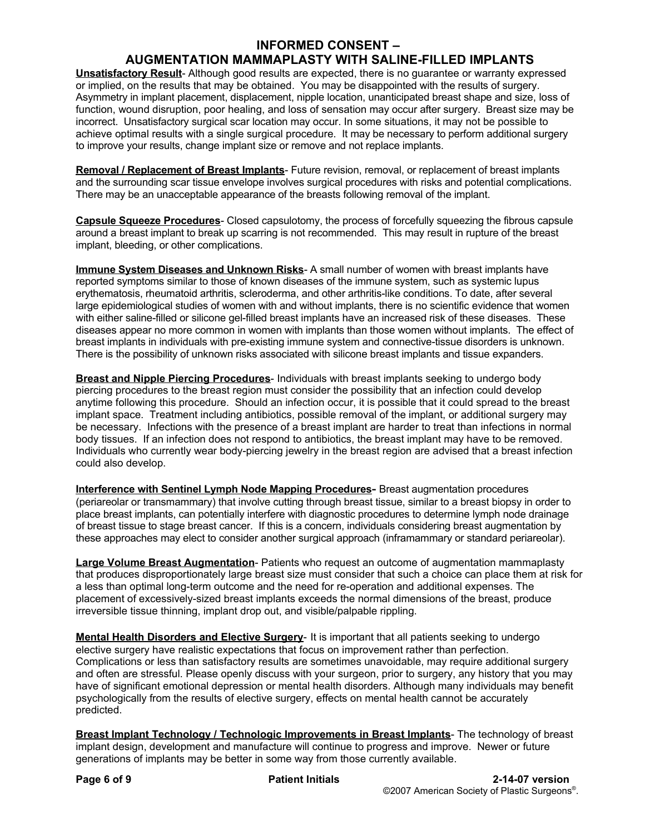## **AUGMENTATION MAMMAPLASTY WITH SALINE-FILLED IMPLANTS**

**Unsatisfactory Result**- Although good results are expected, there is no guarantee or warranty expressed or implied, on the results that may be obtained. You may be disappointed with the results of surgery. Asymmetry in implant placement, displacement, nipple location, unanticipated breast shape and size, loss of function, wound disruption, poor healing, and loss of sensation may occur after surgery. Breast size may be incorrect. Unsatisfactory surgical scar location may occur. In some situations, it may not be possible to achieve optimal results with a single surgical procedure. It may be necessary to perform additional surgery to improve your results, change implant size or remove and not replace implants.

**Removal / Replacement of Breast Implants**- Future revision, removal, or replacement of breast implants and the surrounding scar tissue envelope involves surgical procedures with risks and potential complications. There may be an unacceptable appearance of the breasts following removal of the implant.

**Capsule Squeeze Procedures**- Closed capsulotomy, the process of forcefully squeezing the fibrous capsule around a breast implant to break up scarring is not recommended. This may result in rupture of the breast implant, bleeding, or other complications.

**Immune System Diseases and Unknown Risks**- A small number of women with breast implants have reported symptoms similar to those of known diseases of the immune system, such as systemic lupus erythematosis, rheumatoid arthritis, scleroderma, and other arthritis-like conditions. To date, after several large epidemiological studies of women with and without implants, there is no scientific evidence that women with either saline-filled or silicone gel-filled breast implants have an increased risk of these diseases. These diseases appear no more common in women with implants than those women without implants. The effect of breast implants in individuals with pre-existing immune system and connective-tissue disorders is unknown. There is the possibility of unknown risks associated with silicone breast implants and tissue expanders.

**Breast and Nipple Piercing Procedures**- Individuals with breast implants seeking to undergo body piercing procedures to the breast region must consider the possibility that an infection could develop anytime following this procedure. Should an infection occur, it is possible that it could spread to the breast implant space. Treatment including antibiotics, possible removal of the implant, or additional surgery may be necessary. Infections with the presence of a breast implant are harder to treat than infections in normal body tissues. If an infection does not respond to antibiotics, the breast implant may have to be removed. Individuals who currently wear body-piercing jewelry in the breast region are advised that a breast infection could also develop.

**Interference with Sentinel Lymph Node Mapping Procedures-** Breast augmentation procedures (periareolar or transmammary) that involve cutting through breast tissue, similar to a breast biopsy in order to place breast implants, can potentially interfere with diagnostic procedures to determine lymph node drainage of breast tissue to stage breast cancer. If this is a concern, individuals considering breast augmentation by these approaches may elect to consider another surgical approach (inframammary or standard periareolar).

**Large Volume Breast Augmentation**- Patients who request an outcome of augmentation mammaplasty that produces disproportionately large breast size must consider that such a choice can place them at risk for a less than optimal long-term outcome and the need for re-operation and additional expenses. The placement of excessively-sized breast implants exceeds the normal dimensions of the breast, produce irreversible tissue thinning, implant drop out, and visible/palpable rippling.

**Mental Health Disorders and Elective Surgery**- It is important that all patients seeking to undergo elective surgery have realistic expectations that focus on improvement rather than perfection. Complications or less than satisfactory results are sometimes unavoidable, may require additional surgery and often are stressful. Please openly discuss with your surgeon, prior to surgery, any history that you may have of significant emotional depression or mental health disorders. Although many individuals may benefit psychologically from the results of elective surgery, effects on mental health cannot be accurately predicted.

**Breast Implant Technology / Technologic Improvements in Breast Implants**- The technology of breast implant design, development and manufacture will continue to progress and improve. Newer or future generations of implants may be better in some way from those currently available.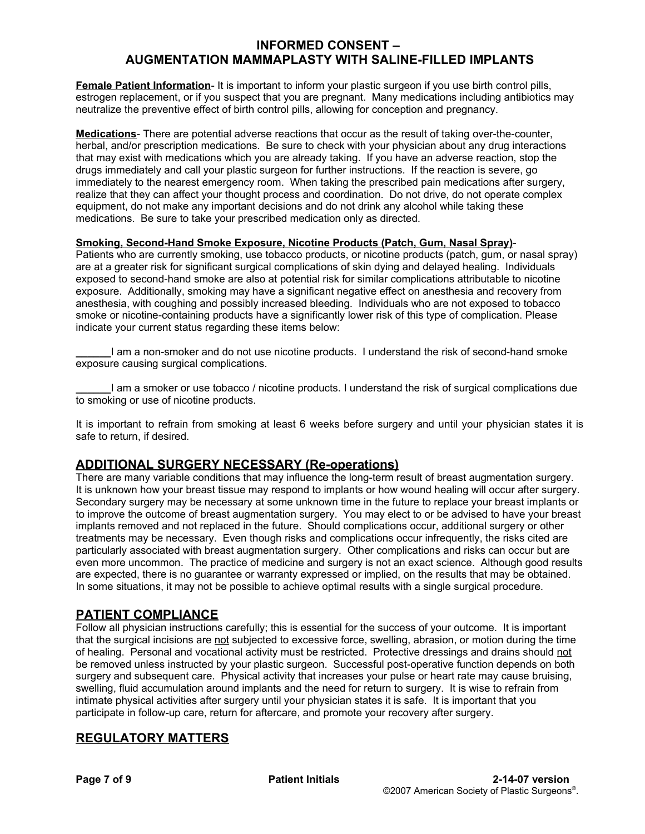## **INFORMED CONSENT – AUGMENTATION MAMMAPLASTY WITH SALINE-FILLED IMPLANTS**

**Female Patient Information**- It is important to inform your plastic surgeon if you use birth control pills, estrogen replacement, or if you suspect that you are pregnant. Many medications including antibiotics may neutralize the preventive effect of birth control pills, allowing for conception and pregnancy.

**Medications**- There are potential adverse reactions that occur as the result of taking over-the-counter, herbal, and/or prescription medications. Be sure to check with your physician about any drug interactions that may exist with medications which you are already taking. If you have an adverse reaction, stop the drugs immediately and call your plastic surgeon for further instructions. If the reaction is severe, go immediately to the nearest emergency room. When taking the prescribed pain medications after surgery, realize that they can affect your thought process and coordination. Do not drive, do not operate complex equipment, do not make any important decisions and do not drink any alcohol while taking these medications. Be sure to take your prescribed medication only as directed.

#### **Smoking, Second-Hand Smoke Exposure, Nicotine Products (Patch, Gum, Nasal Spray)**-

Patients who are currently smoking, use tobacco products, or nicotine products (patch, gum, or nasal spray) are at a greater risk for significant surgical complications of skin dying and delayed healing. Individuals exposed to second-hand smoke are also at potential risk for similar complications attributable to nicotine exposure. Additionally, smoking may have a significant negative effect on anesthesia and recovery from anesthesia, with coughing and possibly increased bleeding. Individuals who are not exposed to tobacco smoke or nicotine-containing products have a significantly lower risk of this type of complication. Please indicate your current status regarding these items below:

**\_\_\_\_\_\_**I am a non-smoker and do not use nicotine products. I understand the risk of second-hand smoke exposure causing surgical complications.

**\_\_\_\_\_\_**I am a smoker or use tobacco / nicotine products. I understand the risk of surgical complications due to smoking or use of nicotine products.

It is important to refrain from smoking at least 6 weeks before surgery and until your physician states it is safe to return, if desired.

#### **ADDITIONAL SURGERY NECESSARY (Re-operations)**

There are many variable conditions that may influence the long-term result of breast augmentation surgery. It is unknown how your breast tissue may respond to implants or how wound healing will occur after surgery. Secondary surgery may be necessary at some unknown time in the future to replace your breast implants or to improve the outcome of breast augmentation surgery. You may elect to or be advised to have your breast implants removed and not replaced in the future. Should complications occur, additional surgery or other treatments may be necessary. Even though risks and complications occur infrequently, the risks cited are particularly associated with breast augmentation surgery. Other complications and risks can occur but are even more uncommon. The practice of medicine and surgery is not an exact science. Although good results are expected, there is no guarantee or warranty expressed or implied, on the results that may be obtained. In some situations, it may not be possible to achieve optimal results with a single surgical procedure.

## **PATIENT COMPLIANCE**

Follow all physician instructions carefully; this is essential for the success of your outcome. It is important that the surgical incisions are not subjected to excessive force, swelling, abrasion, or motion during the time of healing. Personal and vocational activity must be restricted. Protective dressings and drains should not be removed unless instructed by your plastic surgeon. Successful post-operative function depends on both surgery and subsequent care. Physical activity that increases your pulse or heart rate may cause bruising, swelling, fluid accumulation around implants and the need for return to surgery. It is wise to refrain from intimate physical activities after surgery until your physician states it is safe. It is important that you participate in follow-up care, return for aftercare, and promote your recovery after surgery.

## **REGULATORY MATTERS**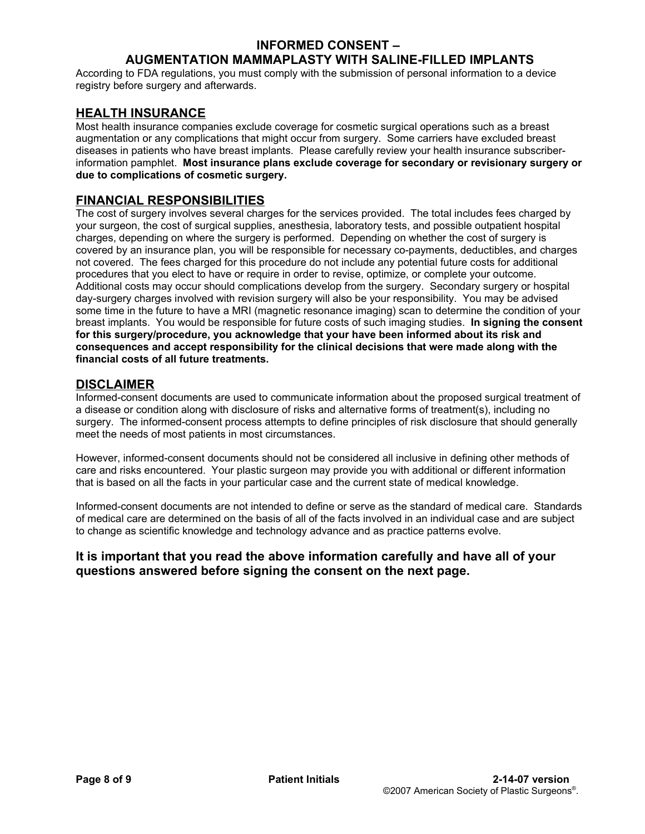## **AUGMENTATION MAMMAPLASTY WITH SALINE-FILLED IMPLANTS**

According to FDA regulations, you must comply with the submission of personal information to a device registry before surgery and afterwards.

## **HEALTH INSURANCE**

Most health insurance companies exclude coverage for cosmetic surgical operations such as a breast augmentation or any complications that might occur from surgery. Some carriers have excluded breast diseases in patients who have breast implants. Please carefully review your health insurance subscriberinformation pamphlet. **Most insurance plans exclude coverage for secondary or revisionary surgery or due to complications of cosmetic surgery.**

## **FINANCIAL RESPONSIBILITIES**

The cost of surgery involves several charges for the services provided. The total includes fees charged by your surgeon, the cost of surgical supplies, anesthesia, laboratory tests, and possible outpatient hospital charges, depending on where the surgery is performed. Depending on whether the cost of surgery is covered by an insurance plan, you will be responsible for necessary co-payments, deductibles, and charges not covered. The fees charged for this procedure do not include any potential future costs for additional procedures that you elect to have or require in order to revise, optimize, or complete your outcome. Additional costs may occur should complications develop from the surgery. Secondary surgery or hospital day-surgery charges involved with revision surgery will also be your responsibility. You may be advised some time in the future to have a MRI (magnetic resonance imaging) scan to determine the condition of your breast implants. You would be responsible for future costs of such imaging studies. **In signing the consent for this surgery/procedure, you acknowledge that your have been informed about its risk and consequences and accept responsibility for the clinical decisions that were made along with the financial costs of all future treatments.**

#### **DISCLAIMER**

Informed-consent documents are used to communicate information about the proposed surgical treatment of a disease or condition along with disclosure of risks and alternative forms of treatment(s), including no surgery. The informed-consent process attempts to define principles of risk disclosure that should generally meet the needs of most patients in most circumstances.

However, informed-consent documents should not be considered all inclusive in defining other methods of care and risks encountered. Your plastic surgeon may provide you with additional or different information that is based on all the facts in your particular case and the current state of medical knowledge.

Informed-consent documents are not intended to define or serve as the standard of medical care. Standards of medical care are determined on the basis of all of the facts involved in an individual case and are subject to change as scientific knowledge and technology advance and as practice patterns evolve.

## **It is important that you read the above information carefully and have all of your questions answered before signing the consent on the next page.**